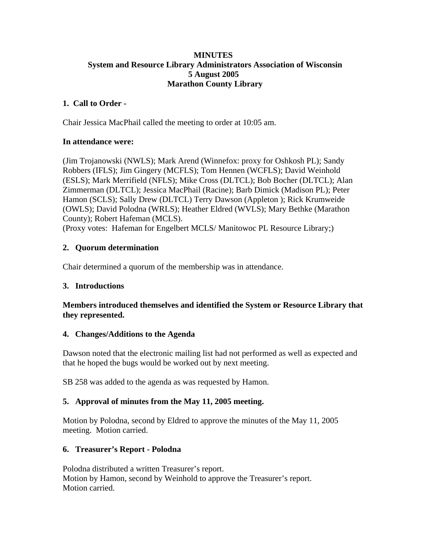#### **MINUTES System and Resource Library Administrators Association of Wisconsin 5 August 2005 Marathon County Library**

## **1. Call to Order -**

Chair Jessica MacPhail called the meeting to order at 10:05 am.

## **In attendance were:**

(Jim Trojanowski (NWLS); Mark Arend (Winnefox: proxy for Oshkosh PL); Sandy Robbers (IFLS); Jim Gingery (MCFLS); Tom Hennen (WCFLS); David Weinhold (ESLS); Mark Merrifield (NFLS); Mike Cross (DLTCL); Bob Bocher (DLTCL); Alan Zimmerman (DLTCL); Jessica MacPhail (Racine); Barb Dimick (Madison PL); Peter Hamon (SCLS); Sally Drew (DLTCL) Terry Dawson (Appleton ); Rick Krumweide (OWLS); David Polodna (WRLS); Heather Eldred (WVLS); Mary Bethke (Marathon County); Robert Hafeman (MCLS).

(Proxy votes: Hafeman for Engelbert MCLS/ Manitowoc PL Resource Library;)

# **2. Quorum determination**

Chair determined a quorum of the membership was in attendance.

## **3. Introductions**

## **Members introduced themselves and identified the System or Resource Library that they represented.**

## **4. Changes/Additions to the Agenda**

Dawson noted that the electronic mailing list had not performed as well as expected and that he hoped the bugs would be worked out by next meeting.

SB 258 was added to the agenda as was requested by Hamon.

## **5. Approval of minutes from the May 11, 2005 meeting.**

Motion by Polodna, second by Eldred to approve the minutes of the May 11, 2005 meeting. Motion carried.

## **6. Treasurer's Report - Polodna**

Polodna distributed a written Treasurer's report. Motion by Hamon, second by Weinhold to approve the Treasurer's report. Motion carried.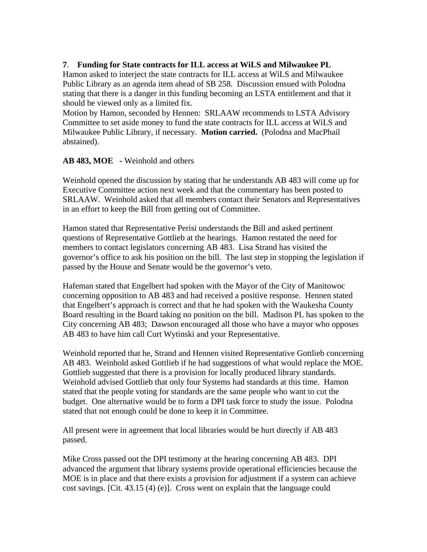#### **7**. **Funding for State contracts for ILL access at WiLS and Milwaukee PL**

Hamon asked to interject the state contracts for ILL access at WiLS and Milwaukee Public Library as an agenda item ahead of SB 258. Discussion ensued with Polodna stating that there is a danger in this funding becoming an LSTA entitlement and that it should be viewed only as a limited fix.

Motion by Hamon, seconded by Hennen: SRLAAW recommends to LSTA Advisory Committee to set aside money to fund the state contracts for ILL access at WiLS and Milwaukee Public Library, if necessary. **Motion carried.** (Polodna and MacPhail abstained).

#### **AB 483, MOE -** Weinhold and others

Weinhold opened the discussion by stating that he understands AB 483 will come up for Executive Committee action next week and that the commentary has been posted to SRLAAW. Weinhold asked that all members contact their Senators and Representatives in an effort to keep the Bill from getting out of Committee.

Hamon stated that Representative Perisi understands the Bill and asked pertinent questions of Representative Gottlieb at the hearings. Hamon restated the need for members to contact legislators concerning AB 483. Lisa Strand has visited the governor's office to ask his position on the bill. The last step in stopping the legislation if passed by the House and Senate would be the governor's veto.

Hafeman stated that Engelbert had spoken with the Mayor of the City of Manitowoc concerning opposition to AB 483 and had received a positive response. Hennen stated that Engelbert's approach is correct and that he had spoken with the Waukesha County Board resulting in the Board taking no position on the bill. Madison PL has spoken to the City concerning AB 483; Dawson encouraged all those who have a mayor who opposes AB 483 to have him call Curt Wytinski and your Representative.

Weinhold reported that he, Strand and Hennen visited Representative Gottlieb concerning AB 483. Weinhold asked Gottlieb if he had suggestions of what would replace the MOE. Gottlieb suggested that there is a provision for locally produced library standards. Weinhold advised Gottlieb that only four Systems had standards at this time. Hamon stated that the people voting for standards are the same people who want to cut the budget. One alternative would be to form a DPI task force to study the issue. Polodna stated that not enough could be done to keep it in Committee.

All present were in agreement that local libraries would be hurt directly if AB 483 passed.

Mike Cross passed out the DPI testimony at the hearing concerning AB 483. DPI advanced the argument that library systems provide operational efficiencies because the MOE is in place and that there exists a provision for adjustment if a system can achieve cost savings. [Cit. 43.15 (4) (e)]. Cross went on explain that the language could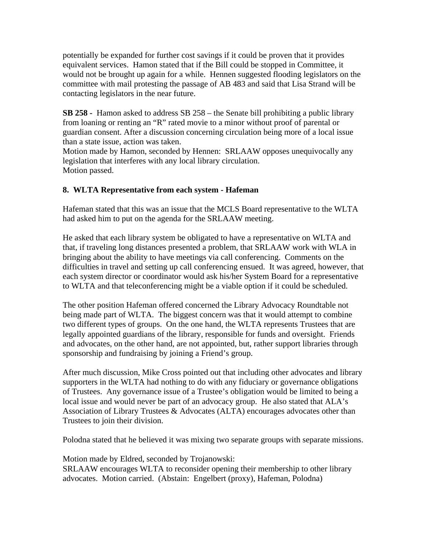potentially be expanded for further cost savings if it could be proven that it provides equivalent services. Hamon stated that if the Bill could be stopped in Committee, it would not be brought up again for a while. Hennen suggested flooding legislators on the committee with mail protesting the passage of AB 483 and said that Lisa Strand will be contacting legislators in the near future.

**SB 258 -** Hamon asked to address SB 258 – the Senate bill prohibiting a public library from loaning or renting an "R" rated movie to a minor without proof of parental or guardian consent. After a discussion concerning circulation being more of a local issue than a state issue, action was taken.

Motion made by Hamon, seconded by Hennen: SRLAAW opposes unequivocally any legislation that interferes with any local library circulation. Motion passed.

# **8. WLTA Representative from each system - Hafeman**

Hafeman stated that this was an issue that the MCLS Board representative to the WLTA had asked him to put on the agenda for the SRLAAW meeting.

He asked that each library system be obligated to have a representative on WLTA and that, if traveling long distances presented a problem, that SRLAAW work with WLA in bringing about the ability to have meetings via call conferencing. Comments on the difficulties in travel and setting up call conferencing ensued. It was agreed, however, that each system director or coordinator would ask his/her System Board for a representative to WLTA and that teleconferencing might be a viable option if it could be scheduled.

The other position Hafeman offered concerned the Library Advocacy Roundtable not being made part of WLTA. The biggest concern was that it would attempt to combine two different types of groups. On the one hand, the WLTA represents Trustees that are legally appointed guardians of the library, responsible for funds and oversight. Friends and advocates, on the other hand, are not appointed, but, rather support libraries through sponsorship and fundraising by joining a Friend's group.

After much discussion, Mike Cross pointed out that including other advocates and library supporters in the WLTA had nothing to do with any fiduciary or governance obligations of Trustees. Any governance issue of a Trustee's obligation would be limited to being a local issue and would never be part of an advocacy group. He also stated that ALA's Association of Library Trustees & Advocates (ALTA) encourages advocates other than Trustees to join their division.

Polodna stated that he believed it was mixing two separate groups with separate missions.

Motion made by Eldred, seconded by Trojanowski:

SRLAAW encourages WLTA to reconsider opening their membership to other library advocates. Motion carried. (Abstain: Engelbert (proxy), Hafeman, Polodna)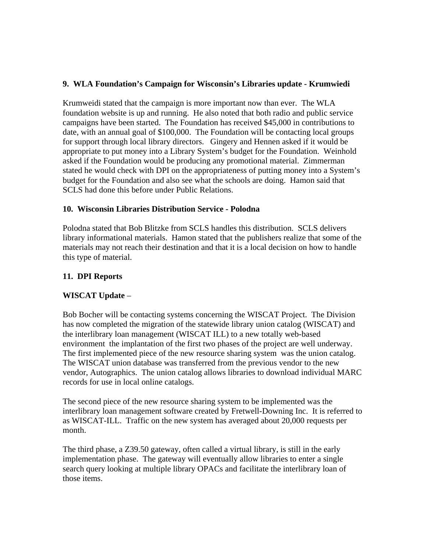### **9. WLA Foundation's Campaign for Wisconsin's Libraries update - Krumwiedi**

Krumweidi stated that the campaign is more important now than ever. The WLA foundation website is up and running. He also noted that both radio and public service campaigns have been started. The Foundation has received \$45,000 in contributions to date, with an annual goal of \$100,000. The Foundation will be contacting local groups for support through local library directors. Gingery and Hennen asked if it would be appropriate to put money into a Library System's budget for the Foundation. Weinhold asked if the Foundation would be producing any promotional material. Zimmerman stated he would check with DPI on the appropriateness of putting money into a System's budget for the Foundation and also see what the schools are doing. Hamon said that SCLS had done this before under Public Relations.

## **10. Wisconsin Libraries Distribution Service - Polodna**

Polodna stated that Bob Blitzke from SCLS handles this distribution. SCLS delivers library informational materials. Hamon stated that the publishers realize that some of the materials may not reach their destination and that it is a local decision on how to handle this type of material.

## **11. DPI Reports**

## **WISCAT Update** –

Bob Bocher will be contacting systems concerning the WISCAT Project. The Division has now completed the migration of the statewide library union catalog (WISCAT) and the interlibrary loan management (WISCAT ILL) to a new totally web-based environment the implantation of the first two phases of the project are well underway. The first implemented piece of the new resource sharing system was the union catalog. The WISCAT union database was transferred from the previous vendor to the new vendor, Autographics. The union catalog allows libraries to download individual MARC records for use in local online catalogs.

The second piece of the new resource sharing system to be implemented was the interlibrary loan management software created by Fretwell-Downing Inc. It is referred to as WISCAT-ILL. Traffic on the new system has averaged about 20,000 requests per month.

The third phase, a Z39.50 gateway, often called a virtual library, is still in the early implementation phase. The gateway will eventually allow libraries to enter a single search query looking at multiple library OPACs and facilitate the interlibrary loan of those items.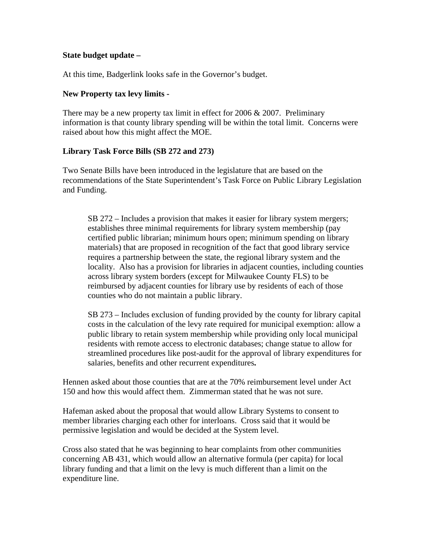#### **State budget update –**

At this time, Badgerlink looks safe in the Governor's budget.

#### **New Property tax levy limits -**

There may be a new property tax limit in effect for 2006 & 2007. Preliminary information is that county library spending will be within the total limit. Concerns were raised about how this might affect the MOE.

#### **Library Task Force Bills (SB 272 and 273)**

Two Senate Bills have been introduced in the legislature that are based on the recommendations of the State Superintendent's Task Force on Public Library Legislation and Funding.

SB 272 – Includes a provision that makes it easier for library system mergers; establishes three minimal requirements for library system membership (pay certified public librarian; minimum hours open; minimum spending on library materials) that are proposed in recognition of the fact that good library service requires a partnership between the state, the regional library system and the locality. Also has a provision for libraries in adjacent counties, including counties across library system borders (except for Milwaukee County FLS) to be reimbursed by adjacent counties for library use by residents of each of those counties who do not maintain a public library.

SB 273 – Includes exclusion of funding provided by the county for library capital costs in the calculation of the levy rate required for municipal exemption: allow a public library to retain system membership while providing only local municipal residents with remote access to electronic databases; change statue to allow for streamlined procedures like post-audit for the approval of library expenditures for salaries, benefits and other recurrent expenditures**.** 

Hennen asked about those counties that are at the 70% reimbursement level under Act 150 and how this would affect them. Zimmerman stated that he was not sure.

Hafeman asked about the proposal that would allow Library Systems to consent to member libraries charging each other for interloans. Cross said that it would be permissive legislation and would be decided at the System level.

Cross also stated that he was beginning to hear complaints from other communities concerning AB 431, which would allow an alternative formula (per capita) for local library funding and that a limit on the levy is much different than a limit on the expenditure line.